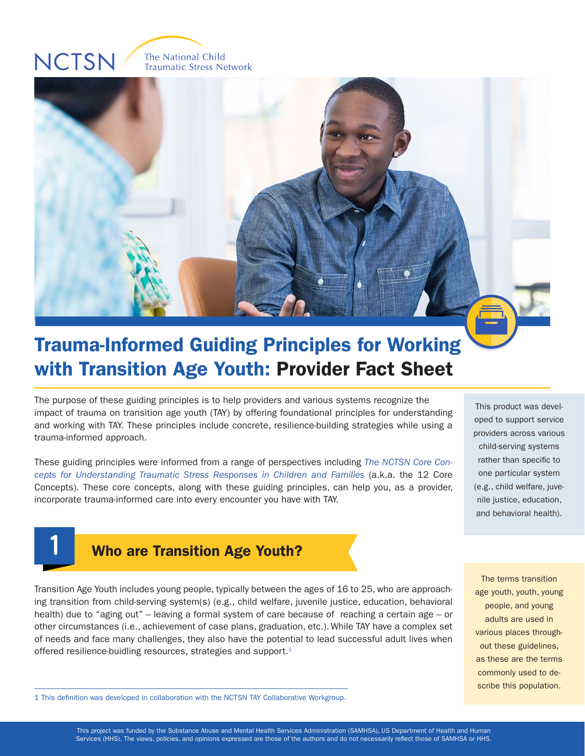# **NCTSN**

**1**

The National Child **Traumatic Stress Network** 



## Trauma-Informed Guiding Principles for Working with Transition Age Youth: Provider Fact Sheet

The purpose of these guiding principles is to help providers and various systems recognize the impact of trauma on transition age youth (TAY) by offering foundational principles for understanding and working with TAY. These principles include concrete, resilience-building strategies while using a trauma-informed approach.

These guiding principles were informed from a range of perspectives including *[The NCTSN Core Con](https://www.nctsn.org/resources/12-core-concepts-concepts-understanding-traumatic-stress-responses-children-and-families)[cepts for Understanding Traumatic Stress Responses in Children and Families](https://www.nctsn.org/resources/12-core-concepts-concepts-understanding-traumatic-stress-responses-children-and-families)* (a.k.a. the 12 Core Concepts). These core concepts, along with these guiding principles, can help you, as a provider, incorporate trauma-informed care into every encounter you have with TAY.

This product was developed to support service providers across various child-serving systems rather than specific to one particular system (e.g., child welfare, juvenile justice, education, and behavioral health).



scribe this population.

Who are Transition Age Youth?

Transition Age Youth includes young people, typically between the ages of 16 to 25, who are approaching transition from child-serving system(s) (e.g., child welfare, juvenile justice, education, behavioral health) due to "aging out" – leaving a formal system of care because of reaching a certain age – or other circumstances (i.e., achievement of case plans, graduation, etc.). While TAY have a complex set of needs and face many challenges, they also have the potential to lead successful adult lives when offered resilience-buidling resources, strategies and support.<sup>1</sup>

1 This definition was developed in collaboration with the NCTSN TAY Collaborative Workgroup.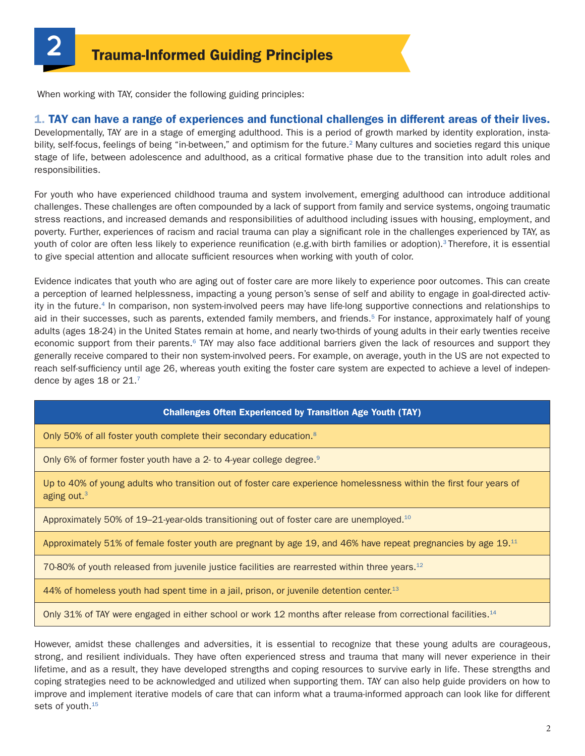When working with TAY, consider the following guiding principles:

#### 1. TAY can have a range of experiences and functional challenges in different areas of their lives.

Developmentally, TAY are in a stage of emerging adulthood. This is a period of growth marked by identity exploration, instability, self-focus, feelings of being "in-between," and optimism for the future.<sup>2</sup> Many cultures and societies regard this unique stage of life, between adolescence and adulthood, as a critical formative phase due to the transition into adult roles and responsibilities.

For youth who have experienced childhood trauma and system involvement, emerging adulthood can introduce additional challenges. These challenges are often compounded by a lack of support from family and service systems, ongoing traumatic stress reactions, and increased demands and responsibilities of adulthood including issues with housing, employment, and poverty. Further, experiences of racism and racial trauma can play a significant role in the challenges experienced by TAY, as youth of color are often less likely to experience reunification (e.g.with birth families or adoption).<sup>3</sup> Therefore, it is essential to give special attention and allocate sufficient resources when working with youth of color.

Evidence indicates that youth who are aging out of foster care are more likely to experience poor outcomes. This can create a perception of learned helplessness, impacting a young person's sense of self and ability to engage in goal-directed activity in the future.4 In comparison, non system-involved peers may have life-long supportive connections and relationships to aid in their successes, such as parents, extended family members, and friends.<sup>5</sup> For instance, approximately half of young adults (ages 18-24) in the United States remain at home, and nearly two-thirds of young adults in their early twenties receive economic support from their parents.<sup>6</sup> TAY may also face additional barriers given the lack of resources and support they generally receive compared to their non system-involved peers. For example, on average, youth in the US are not expected to reach self-sufficiency until age 26, whereas youth exiting the foster care system are expected to achieve a level of independence by ages 18 or 21.<sup>7</sup>

#### Challenges Often Experienced by Transition Age Youth (TAY)

Only 50% of all foster youth complete their secondary education.<sup>8</sup>

Only 6% of former foster youth have a 2- to 4-year college degree.<sup>9</sup>

Up to 40% of young adults who transition out of foster care experience homelessness within the first four years of aging out.3

Approximately 50% of 19–21-year-olds transitioning out of foster care are unemployed.<sup>10</sup>

Approximately 51% of female foster youth are pregnant by age 19, and 46% have repeat pregnancies by age 19.11

70-80% of youth released from juvenile justice facilities are rearrested within three years.<sup>12</sup>

44% of homeless youth had spent time in a jail, prison, or juvenile detention center.<sup>13</sup>

Only 31% of TAY were engaged in either school or work 12 months after release from correctional facilities.<sup>14</sup>

However, amidst these challenges and adversities, it is essential to recognize that these young adults are courageous, strong, and resilient individuals. They have often experienced stress and trauma that many will never experience in their lifetime, and as a result, they have developed strengths and coping resources to survive early in life. These strengths and coping strategies need to be acknowledged and utilized when supporting them. TAY can also help guide providers on how to improve and implement iterative models of care that can inform what a trauma-informed approach can look like for different sets of youth.<sup>15</sup>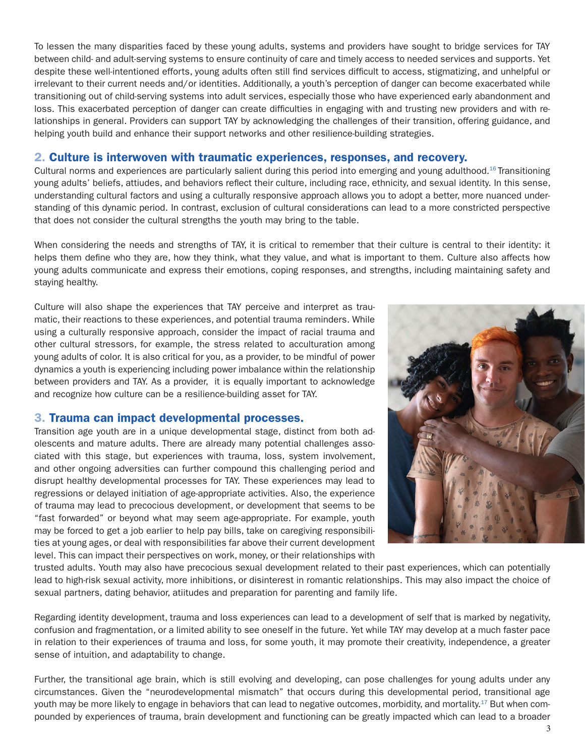To lessen the many disparities faced by these young adults, systems and providers have sought to bridge services for TAY between child- and adult-serving systems to ensure continuity of care and timely access to needed services and supports. Yet despite these well-intentioned efforts, young adults often still find services difficult to access, stigmatizing, and unhelpful or irrelevant to their current needs and/or identities. Additionally, a youth's perception of danger can become exacerbated while transitioning out of child-serving systems into adult services, especially those who have experienced early abandonment and loss. This exacerbated perception of danger can create difficulties in engaging with and trusting new providers and with relationships in general. Providers can support TAY by acknowledging the challenges of their transition, offering guidance, and helping youth build and enhance their support networks and other resilience-building strategies.

#### 2. Culture is interwoven with traumatic experiences, responses, and recovery.

Cultural norms and experiences are particularly salient during this period into emerging and young adulthood.<sup>16</sup> Transitioning young adults' beliefs, attiudes, and behaviors reflect their culture, including race, ethnicity, and sexual identity. In this sense, understanding cultural factors and using a culturally responsive approach allows you to adopt a better, more nuanced understanding of this dynamic period. In contrast, exclusion of cultural considerations can lead to a more constricted perspective that does not consider the cultural strengths the youth may bring to the table.

When considering the needs and strengths of TAY, it is critical to remember that their culture is central to their identity: it helps them define who they are, how they think, what they value, and what is important to them. Culture also affects how young adults communicate and express their emotions, coping responses, and strengths, including maintaining safety and staying healthy.

Culture will also shape the experiences that TAY perceive and interpret as traumatic, their reactions to these experiences, and potential trauma reminders. While using a culturally responsive approach, consider the impact of racial trauma and other cultural stressors, for example, the stress related to acculturation among young adults of color. It is also critical for you, as a provider, to be mindful of power dynamics a youth is experiencing including power imbalance within the relationship between providers and TAY. As a provider, it is equally important to acknowledge and recognize how culture can be a resilience-building asset for TAY.

#### 3. Trauma can impact developmental processes.

Transition age youth are in a unique developmental stage, distinct from both adolescents and mature adults. There are already many potential challenges associated with this stage, but experiences with trauma, loss, system involvement, and other ongoing adversities can further compound this challenging period and disrupt healthy developmental processes for TAY. These experiences may lead to regressions or delayed initiation of age-appropriate activities. Also, the experience of trauma may lead to precocious development, or development that seems to be "fast forwarded" or beyond what may seem age-appropriate. For example, youth may be forced to get a job earlier to help pay bills, take on caregiving responsibilities at young ages, or deal with responsibilities far above their current development level. This can impact their perspectives on work, money, or their relationships with



trusted adults. Youth may also have precocious sexual development related to their past experiences, which can potentially lead to high-risk sexual activity, more inhibitions, or disinterest in romantic relationships. This may also impact the choice of sexual partners, dating behavior, atiitudes and preparation for parenting and family life.

Regarding identity development, trauma and loss experiences can lead to a development of self that is marked by negativity, confusion and fragmentation, or a limited ability to see oneself in the future. Yet while TAY may develop at a much faster pace in relation to their experiences of trauma and loss, for some youth, it may promote their creativity, independence, a greater sense of intuition, and adaptability to change.

Further, the transitional age brain, which is still evolving and developing, can pose challenges for young adults under any circumstances. Given the "neurodevelopmental mismatch" that occurs during this developmental period, transitional age youth may be more likely to engage in behaviors that can lead to negative outcomes, morbidity, and mortality.<sup>17</sup> But when compounded by experiences of trauma, brain development and functioning can be greatly impacted which can lead to a broader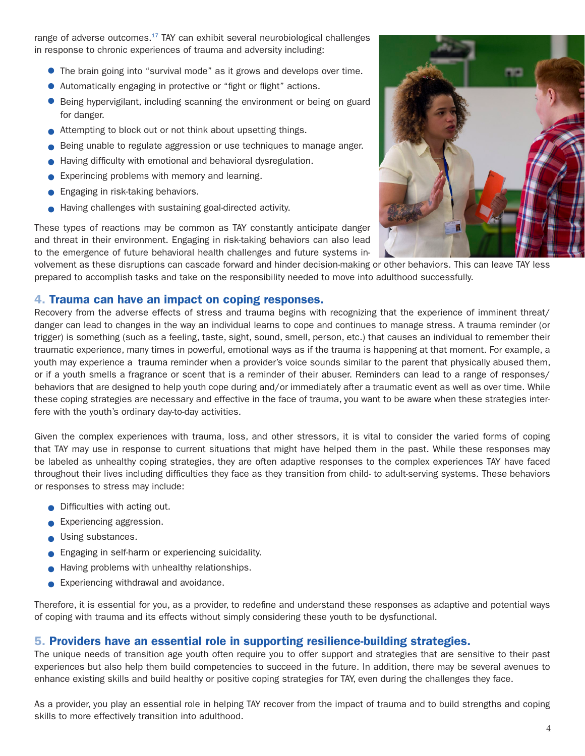range of adverse outcomes. $17$  TAY can exhibit several neurobiological challenges in response to chronic experiences of trauma and adversity including:

- The brain going into "survival mode" as it grows and develops over time.
- Automatically engaging in protective or "fight or flight" actions.
- Being hypervigilant, including scanning the environment or being on guard for danger.
- Attempting to block out or not think about upsetting things.
- Being unable to regulate aggression or use techniques to manage anger.
- Having difficulty with emotional and behavioral dysregulation.
- **Experincing problems with memory and learning.**
- **Engaging in risk-taking behaviors.**
- Having challenges with sustaining goal-directed activity.

These types of reactions may be common as TAY constantly anticipate danger and threat in their environment. Engaging in risk-taking behaviors can also lead to the emergence of future behavioral health challenges and future systems in-

volvement as these disruptions can cascade forward and hinder decision-making or other behaviors. This can leave TAY less prepared to accomplish tasks and take on the responsibility needed to move into adulthood successfully.

#### 4. Trauma can have an impact on coping responses.

Recovery from the adverse effects of stress and trauma begins with recognizing that the experience of imminent threat/ danger can lead to changes in the way an individual learns to cope and continues to manage stress. A trauma reminder (or trigger) is something (such as a feeling, taste, sight, sound, smell, person, etc.) that causes an individual to remember their traumatic experience, many times in powerful, emotional ways as if the trauma is happening at that moment. For example, a youth may experience a trauma reminder when a provider's voice sounds similar to the parent that physically abused them, or if a youth smells a fragrance or scent that is a reminder of their abuser. Reminders can lead to a range of responses/ behaviors that are designed to help youth cope during and/or immediately after a traumatic event as well as over time. While these coping strategies are necessary and effective in the face of trauma, you want to be aware when these strategies interfere with the youth's ordinary day-to-day activities.

Given the complex experiences with trauma, loss, and other stressors, it is vital to consider the varied forms of coping that TAY may use in response to current situations that might have helped them in the past. While these responses may be labeled as unhealthy coping strategies, they are often adaptive responses to the complex experiences TAY have faced throughout their lives including difficulties they face as they transition from child- to adult-serving systems. These behaviors or responses to stress may include:

- **Difficulties with acting out.**
- **Experiencing aggression.**
- Using substances.
- **Engaging in self-harm or experiencing suicidality.**
- Having problems with unhealthy relationships.
- **Experiencing withdrawal and avoidance.**

Therefore, it is essential for you, as a provider, to redefine and understand these responses as adaptive and potential ways of coping with trauma and its effects without simply considering these youth to be dysfunctional.

#### 5. Providers have an essential role in supporting resilience-building strategies.

The unique needs of transition age youth often require you to offer support and strategies that are sensitive to their past experiences but also help them build competencies to succeed in the future. In addition, there may be several avenues to enhance existing skills and build healthy or positive coping strategies for TAY, even during the challenges they face.

As a provider, you play an essential role in helping TAY recover from the impact of trauma and to build strengths and coping skills to more effectively transition into adulthood.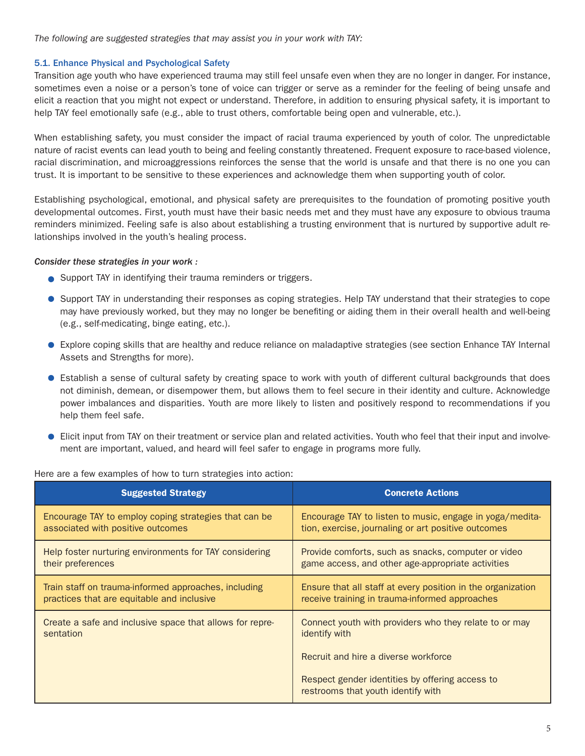*The following are suggested strategies that may assist you in your work with TAY:* 

#### 5.1. Enhance Physical and Psychological Safety

Transition age youth who have experienced trauma may still feel unsafe even when they are no longer in danger. For instance, sometimes even a noise or a person's tone of voice can trigger or serve as a reminder for the feeling of being unsafe and elicit a reaction that you might not expect or understand. Therefore, in addition to ensuring physical safety, it is important to help TAY feel emotionally safe (e.g., able to trust others, comfortable being open and vulnerable, etc.).

When establishing safety, you must consider the impact of racial trauma experienced by youth of color. The unpredictable nature of racist events can lead youth to being and feeling constantly threatened. Frequent exposure to race-based violence, racial discrimination, and microaggressions reinforces the sense that the world is unsafe and that there is no one you can trust. It is important to be sensitive to these experiences and acknowledge them when supporting youth of color.

Establishing psychological, emotional, and physical safety are prerequisites to the foundation of promoting positive youth developmental outcomes. First, youth must have their basic needs met and they must have any exposure to obvious trauma reminders minimized. Feeling safe is also about establishing a trusting environment that is nurtured by supportive adult relationships involved in the youth's healing process.

#### *Consider these strategies in your work :*

- **Support TAY in identifying their trauma reminders or triggers.**
- Support TAY in understanding their responses as coping strategies. Help TAY understand that their strategies to cope may have previously worked, but they may no longer be benefiting or aiding them in their overall health and well-being (e.g., self-medicating, binge eating, etc.).
- Explore coping skills that are healthy and reduce reliance on maladaptive strategies (see section Enhance TAY Internal Assets and Strengths for more).
- Establish a sense of cultural safety by creating space to work with youth of different cultural backgrounds that does not diminish, demean, or disempower them, but allows them to feel secure in their identity and culture. Acknowledge power imbalances and disparities. Youth are more likely to listen and positively respond to recommendations if you help them feel safe.
- Elicit input from TAY on their treatment or service plan and related activities. Youth who feel that their input and involvement are important, valued, and heard will feel safer to engage in programs more fully.

| <b>Suggested Strategy</b>                                | <b>Concrete Actions</b>                                                               |
|----------------------------------------------------------|---------------------------------------------------------------------------------------|
| Encourage TAY to employ coping strategies that can be    | Encourage TAY to listen to music, engage in yoga/medita-                              |
| associated with positive outcomes                        | tion, exercise, journaling or art positive outcomes                                   |
| Help foster nurturing environments for TAY considering   | Provide comforts, such as snacks, computer or video                                   |
| their preferences                                        | game access, and other age-appropriate activities                                     |
| Train staff on trauma-informed approaches, including     | Ensure that all staff at every position in the organization                           |
| practices that are equitable and inclusive               | receive training in trauma-informed approaches                                        |
| Create a safe and inclusive space that allows for repre- | Connect youth with providers who they relate to or may                                |
| sentation                                                | identify with                                                                         |
|                                                          | Recruit and hire a diverse workforce                                                  |
|                                                          | Respect gender identities by offering access to<br>restrooms that youth identify with |

Here are a few examples of how to turn strategies into action: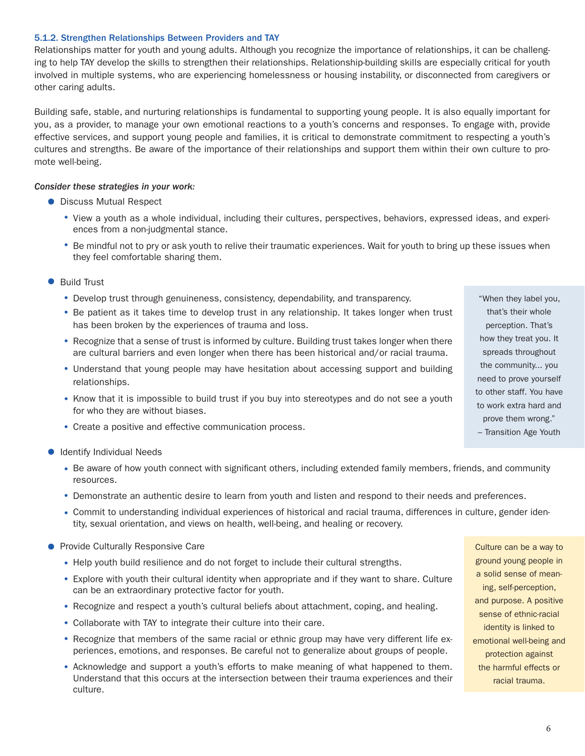#### 5.1.2. Strengthen Relationships Between Providers and TAY

Relationships matter for youth and young adults. Although you recognize the importance of relationships, it can be challenging to help TAY develop the skills to strengthen their relationships. Relationship-building skills are especially critical for youth involved in multiple systems, who are experiencing homelessness or housing instability, or disconnected from caregivers or other caring adults.

Building safe, stable, and nurturing relationships is fundamental to supporting young people. It is also equally important for you, as a provider, to manage your own emotional reactions to a youth's concerns and responses. To engage with, provide effective services, and support young people and families, it is critical to demonstrate commitment to respecting a youth's cultures and strengths. Be aware of the importance of their relationships and support them within their own culture to promote well-being.

#### *Consider these strategies in your work:*

- **Discuss Mutual Respect** 
	- View a youth as a whole individual, including their cultures, perspectives, behaviors, expressed ideas, and experiences from a non-judgmental stance.
	- Be mindful not to pry or ask youth to relive their traumatic experiences. Wait for youth to bring up these issues when they feel comfortable sharing them.
- Build Trust
	- Develop trust through genuineness, consistency, dependability, and transparency.
	- Be patient as it takes time to develop trust in any relationship. It takes longer when trust has been broken by the experiences of trauma and loss.
	- Recognize that a sense of trust is informed by culture. Building trust takes longer when there are cultural barriers and even longer when there has been historical and/or racial trauma.
	- Understand that young people may have hesitation about accessing support and building relationships.
	- Know that it is impossible to build trust if you buy into stereotypes and do not see a youth for who they are without biases.
	- Create a positive and effective communication process.
- **Identify Individual Needs** 
	- Be aware of how youth connect with significant others, including extended family members, friends, and community resources.
	- Demonstrate an authentic desire to learn from youth and listen and respond to their needs and preferences.
	- Commit to understanding individual experiences of historical and racial trauma, differences in culture, gender identity, sexual orientation, and views on health, well-being, and healing or recovery.
- **Provide Culturally Responsive Care** 
	- Help youth build resilience and do not forget to include their cultural strengths.
	- Explore with youth their cultural identity when appropriate and if they want to share. Culture can be an extraordinary protective factor for youth.
	- Recognize and respect a youth's cultural beliefs about attachment, coping, and healing.
	- Collaborate with TAY to integrate their culture into their care.
	- Recognize that members of the same racial or ethnic group may have very different life experiences, emotions, and responses. Be careful not to generalize about groups of people.
	- Acknowledge and support a youth's efforts to make meaning of what happened to them. Understand that this occurs at the intersection between their trauma experiences and their culture.

Culture can be a way to ground young people in a solid sense of meaning, self-perception, and purpose. A positive sense of ethnic-racial identity is linked to emotional well-being and protection against the harmful effects or racial trauma.

that's their whole perception. That's how they treat you. It spreads throughout the community... you need to prove yourself to other staff. You have to work extra hard and prove them wrong." – Transition Age Youth

"When they label you,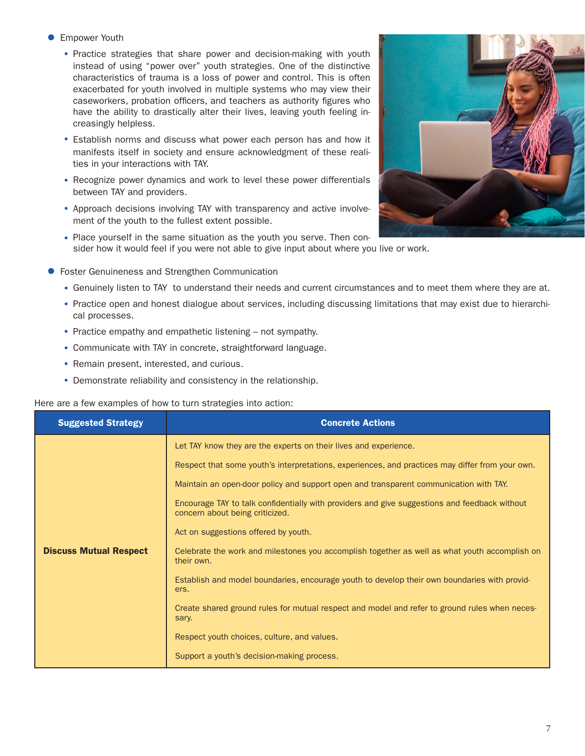#### **Empower Youth**

- Practice strategies that share power and decision-making with youth instead of using "power over" youth strategies. One of the distinctive characteristics of trauma is a loss of power and control. This is often exacerbated for youth involved in multiple systems who may view their caseworkers, probation officers, and teachers as authority figures who have the ability to drastically alter their lives, leaving youth feeling increasingly helpless.
- Establish norms and discuss what power each person has and how it manifests itself in society and ensure acknowledgment of these realities in your interactions with TAY.
- Recognize power dynamics and work to level these power differentials between TAY and providers.
- Approach decisions involving TAY with transparency and active involvement of the youth to the fullest extent possible.
- Place yourself in the same situation as the youth you serve. Then consider how it would feel if you were not able to give input about where you live or work.
- Foster Genuineness and Strengthen Communication
	- Genuinely listen to TAY to understand their needs and current circumstances and to meet them where they are at.
	- Practice open and honest dialogue about services, including discussing limitations that may exist due to hierarchical processes.
	- Practice empathy and empathetic listening not sympathy.
	- Communicate with TAY in concrete, straightforward language.
	- Remain present, interested, and curious.
	- Demonstrate reliability and consistency in the relationship.

#### Here are a few examples of how to turn strategies into action:

| <b>Suggested Strategy</b>     | <b>Concrete Actions</b>                                                                                                          |
|-------------------------------|----------------------------------------------------------------------------------------------------------------------------------|
|                               | Let TAY know they are the experts on their lives and experience.                                                                 |
|                               | Respect that some youth's interpretations, experiences, and practices may differ from your own.                                  |
|                               | Maintain an open-door policy and support open and transparent communication with TAY.                                            |
|                               | Encourage TAY to talk confidentially with providers and give suggestions and feedback without<br>concern about being criticized. |
|                               | Act on suggestions offered by youth.                                                                                             |
| <b>Discuss Mutual Respect</b> | Celebrate the work and milestones you accomplish together as well as what youth accomplish on<br>their own.                      |
|                               | Establish and model boundaries, encourage youth to develop their own boundaries with provid-<br>ers.                             |
|                               | Create shared ground rules for mutual respect and model and refer to ground rules when neces-<br>sary.                           |
|                               | Respect youth choices, culture, and values.                                                                                      |
|                               | Support a youth's decision-making process.                                                                                       |

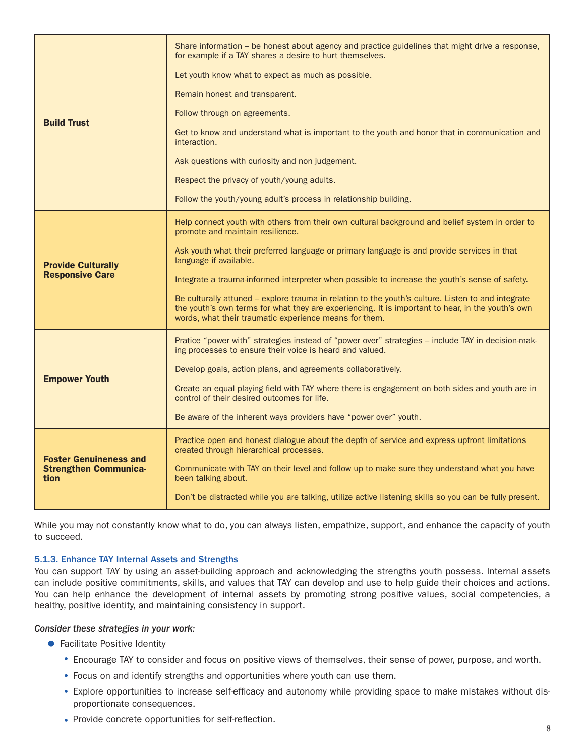|                                                                       | Share information – be honest about agency and practice guidelines that might drive a response,<br>for example if a TAY shares a desire to hurt themselves.                                                                                                       |
|-----------------------------------------------------------------------|-------------------------------------------------------------------------------------------------------------------------------------------------------------------------------------------------------------------------------------------------------------------|
| <b>Build Trust</b>                                                    | Let youth know what to expect as much as possible.                                                                                                                                                                                                                |
|                                                                       | Remain honest and transparent.                                                                                                                                                                                                                                    |
|                                                                       | Follow through on agreements.                                                                                                                                                                                                                                     |
|                                                                       | Get to know and understand what is important to the youth and honor that in communication and<br>interaction.                                                                                                                                                     |
|                                                                       | Ask questions with curiosity and non judgement.                                                                                                                                                                                                                   |
|                                                                       | Respect the privacy of youth/young adults.                                                                                                                                                                                                                        |
|                                                                       | Follow the youth/young adult's process in relationship building.                                                                                                                                                                                                  |
| <b>Provide Culturally</b><br><b>Responsive Care</b>                   | Help connect youth with others from their own cultural background and belief system in order to<br>promote and maintain resilience.                                                                                                                               |
|                                                                       | Ask youth what their preferred language or primary language is and provide services in that<br>language if available.                                                                                                                                             |
|                                                                       | Integrate a trauma-informed interpreter when possible to increase the youth's sense of safety.                                                                                                                                                                    |
|                                                                       | Be culturally attuned - explore trauma in relation to the youth's culture. Listen to and integrate<br>the youth's own terms for what they are experiencing. It is important to hear, in the youth's own<br>words, what their traumatic experience means for them. |
| <b>Empower Youth</b>                                                  | Pratice "power with" strategies instead of "power over" strategies – include TAY in decision-mak-<br>ing processes to ensure their voice is heard and valued.                                                                                                     |
|                                                                       | Develop goals, action plans, and agreements collaboratively.                                                                                                                                                                                                      |
|                                                                       | Create an equal playing field with TAY where there is engagement on both sides and youth are in<br>control of their desired outcomes for life.                                                                                                                    |
|                                                                       | Be aware of the inherent ways providers have "power over" youth.                                                                                                                                                                                                  |
| <b>Foster Genuineness and</b><br><b>Strengthen Communica-</b><br>tion | Practice open and honest dialogue about the depth of service and express upfront limitations<br>created through hierarchical processes.                                                                                                                           |
|                                                                       | Communicate with TAY on their level and follow up to make sure they understand what you have<br>been talking about.                                                                                                                                               |
|                                                                       | Don't be distracted while you are talking, utilize active listening skills so you can be fully present.                                                                                                                                                           |

While you may not constantly know what to do, you can always listen, empathize, support, and enhance the capacity of youth to succeed.

#### 5.1.3. Enhance TAY Internal Assets and Strengths

You can support TAY by using an asset-building approach and acknowledging the strengths youth possess. Internal assets can include positive commitments, skills, and values that TAY can develop and use to help guide their choices and actions. You can help enhance the development of internal assets by promoting strong positive values, social competencies, a healthy, positive identity, and maintaining consistency in support.

#### *Consider these strategies in your work:*

- **•** Facilitate Positive Identity
	- Encourage TAY to consider and focus on positive views of themselves, their sense of power, purpose, and worth.
	- Focus on and identify strengths and opportunities where youth can use them.
	- Explore opportunities to increase self-efficacy and autonomy while providing space to make mistakes without disproportionate consequences.
	- Provide concrete opportunities for self-reflection.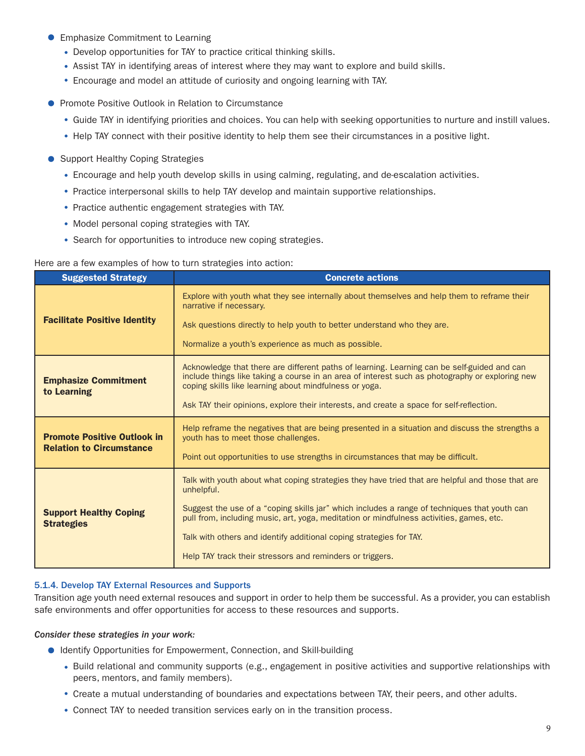- **Emphasize Commitment to Learning** 
	- Develop opportunities for TAY to practice critical thinking skills.
	- Assist TAY in identifying areas of interest where they may want to explore and build skills.
	- Encourage and model an attitude of curiosity and ongoing learning with TAY.
- **Promote Positive Outlook in Relation to Circumstance** 
	- Guide TAY in identifying priorities and choices. You can help with seeking opportunities to nurture and instill values.
	- Help TAY connect with their positive identity to help them see their circumstances in a positive light.
- Support Healthy Coping Strategies
	- Encourage and help youth develop skills in using calming, regulating, and de-escalation activities.
	- Practice interpersonal skills to help TAY develop and maintain supportive relationships.
	- Practice authentic engagement strategies with TAY.
	- Model personal coping strategies with TAY.
	- Search for opportunities to introduce new coping strategies.

#### Here are a few examples of how to turn strategies into action:

| <b>Suggested Strategy</b>                                             | <b>Concrete actions</b>                                                                                                                                                                                                                                                                                                                                                                                                                        |
|-----------------------------------------------------------------------|------------------------------------------------------------------------------------------------------------------------------------------------------------------------------------------------------------------------------------------------------------------------------------------------------------------------------------------------------------------------------------------------------------------------------------------------|
| <b>Facilitate Positive Identity</b>                                   | Explore with youth what they see internally about themselves and help them to reframe their<br>narrative if necessary.<br>Ask questions directly to help youth to better understand who they are.<br>Normalize a youth's experience as much as possible.                                                                                                                                                                                       |
| <b>Emphasize Commitment</b><br>to Learning                            | Acknowledge that there are different paths of learning. Learning can be self-guided and can<br>include things like taking a course in an area of interest such as photography or exploring new<br>coping skills like learning about mindfulness or yoga.<br>Ask TAY their opinions, explore their interests, and create a space for self-reflection.                                                                                           |
| <b>Promote Positive Outlook in</b><br><b>Relation to Circumstance</b> | Help reframe the negatives that are being presented in a situation and discuss the strengths a<br>youth has to meet those challenges.<br>Point out opportunities to use strengths in circumstances that may be difficult.                                                                                                                                                                                                                      |
| <b>Support Healthy Coping</b><br><b>Strategies</b>                    | Talk with youth about what coping strategies they have tried that are helpful and those that are<br>unhelpful.<br>Suggest the use of a "coping skills jar" which includes a range of techniques that youth can<br>pull from, including music, art, yoga, meditation or mindfulness activities, games, etc.<br>Talk with others and identify additional coping strategies for TAY.<br>Help TAY track their stressors and reminders or triggers. |

#### 5.1.4. Develop TAY External Resources and Supports

Transition age youth need external resouces and support in order to help them be successful. As a provider, you can establish safe environments and offer opportunities for access to these resources and supports.

#### *Consider these strategies in your work:*

- Identify Opportunities for Empowerment, Connection, and Skill-building
	- Build relational and community supports (e.g., engagement in positive activities and supportive relationships with peers, mentors, and family members).
	- Create a mutual understanding of boundaries and expectations between TAY, their peers, and other adults.
	- Connect TAY to needed transition services early on in the transition process.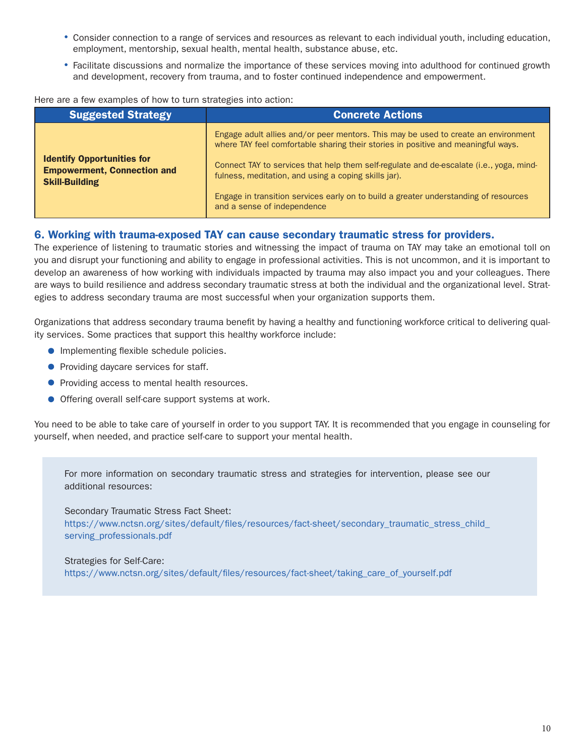- Consider connection to a range of services and resources as relevant to each individual youth, including education, employment, mentorship, sexual health, mental health, substance abuse, etc.
- Facilitate discussions and normalize the importance of these services moving into adulthood for continued growth and development, recovery from trauma, and to foster continued independence and empowerment.

Here are a few examples of how to turn strategies into action:

| <b>Suggested Strategy</b>                                                                        | <b>Concrete Actions</b>                                                                                                                                                                                                                                                                                                    |
|--------------------------------------------------------------------------------------------------|----------------------------------------------------------------------------------------------------------------------------------------------------------------------------------------------------------------------------------------------------------------------------------------------------------------------------|
| <b>Identify Opportunities for</b><br><b>Empowerment, Connection and</b><br><b>Skill-Building</b> | Engage adult allies and/or peer mentors. This may be used to create an environment<br>where TAY feel comfortable sharing their stories in positive and meaningful ways.<br>Connect TAY to services that help them self-regulate and de-escalate (i.e., yoga, mind-<br>fulness, meditation, and using a coping skills jar). |
|                                                                                                  | Engage in transition services early on to build a greater understanding of resources<br>and a sense of independence                                                                                                                                                                                                        |

#### 6. Working with trauma-exposed TAY can cause secondary traumatic stress for providers.

The experience of listening to traumatic stories and witnessing the impact of trauma on TAY may take an emotional toll on you and disrupt your functioning and ability to engage in professional activities. This is not uncommon, and it is important to develop an awareness of how working with individuals impacted by trauma may also impact you and your colleagues. There are ways to build resilience and address secondary traumatic stress at both the individual and the organizational level. Strategies to address secondary trauma are most successful when your organization supports them.

Organizations that address secondary trauma benefit by having a healthy and functioning workforce critical to delivering quality services. Some practices that support this healthy workforce include:

- **•** Implementing flexible schedule policies.
- **Providing daycare services for staff.**
- **Providing access to mental health resources.**
- **Offering overall self-care support systems at work.**

You need to be able to take care of yourself in order to you support TAY. It is recommended that you engage in counseling for yourself, when needed, and practice self-care to support your mental health.

For more information on secondary traumatic stress and strategies for intervention, please see our additional resources:

#### Secondary Traumatic Stress Fact Sheet:

https://www.nctsn.org/sites/default/files/resources/fact-sheet/secondary\_traumatic\_stress\_child serving\_professionals.pdf

#### Strategies for Self-Care:

https://www.nctsn.org/sites/default/files/resources/fact-sheet/taking\_care\_of\_yourself.pdf